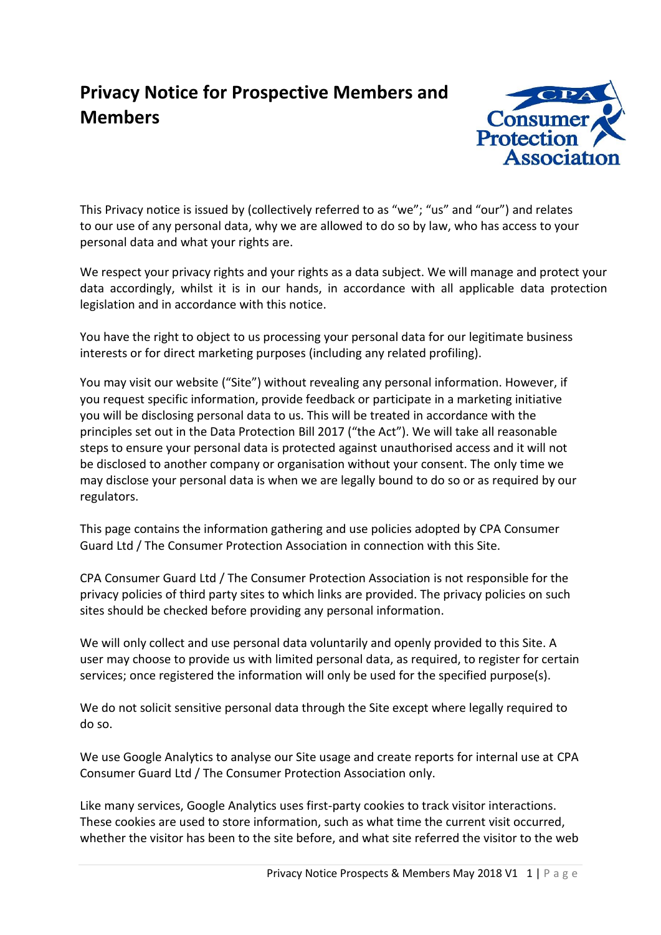# **Privacy Notice for Prospective Members and Members**



This Privacy notice is issued by (collectively referred to as "we"; "us" and "our") and relates to our use of any personal data, why we are allowed to do so by law, who has access to your personal data and what your rights are.

We respect your privacy rights and your rights as a data subject. We will manage and protect your data accordingly, whilst it is in our hands, in accordance with all applicable data protection legislation and in accordance with this notice.

You have the right to object to us processing your personal data for our legitimate business interests or for direct marketing purposes (including any related profiling).

You may visit our website ("Site") without revealing any personal information. However, if you request specific information, provide feedback or participate in a marketing initiative you will be disclosing personal data to us. This will be treated in accordance with the principles set out in the Data Protection Bill 2017 ("the Act"). We will take all reasonable steps to ensure your personal data is protected against unauthorised access and it will not be disclosed to another company or organisation without your consent. The only time we may disclose your personal data is when we are legally bound to do so or as required by our regulators.

This page contains the information gathering and use policies adopted by CPA Consumer Guard Ltd / The Consumer Protection Association in connection with this Site.

CPA Consumer Guard Ltd / The Consumer Protection Association is not responsible for the privacy policies of third party sites to which links are provided. The privacy policies on such sites should be checked before providing any personal information.

We will only collect and use personal data voluntarily and openly provided to this Site. A user may choose to provide us with limited personal data, as required, to register for certain services; once registered the information will only be used for the specified purpose(s).

We do not solicit sensitive personal data through the Site except where legally required to do so.

We use Google Analytics to analyse our Site usage and create reports for internal use at CPA Consumer Guard Ltd / The Consumer Protection Association only.

Like many services, Google Analytics uses first-party cookies to track visitor interactions. These cookies are used to store information, such as what time the current visit occurred, whether the visitor has been to the site before, and what site referred the visitor to the web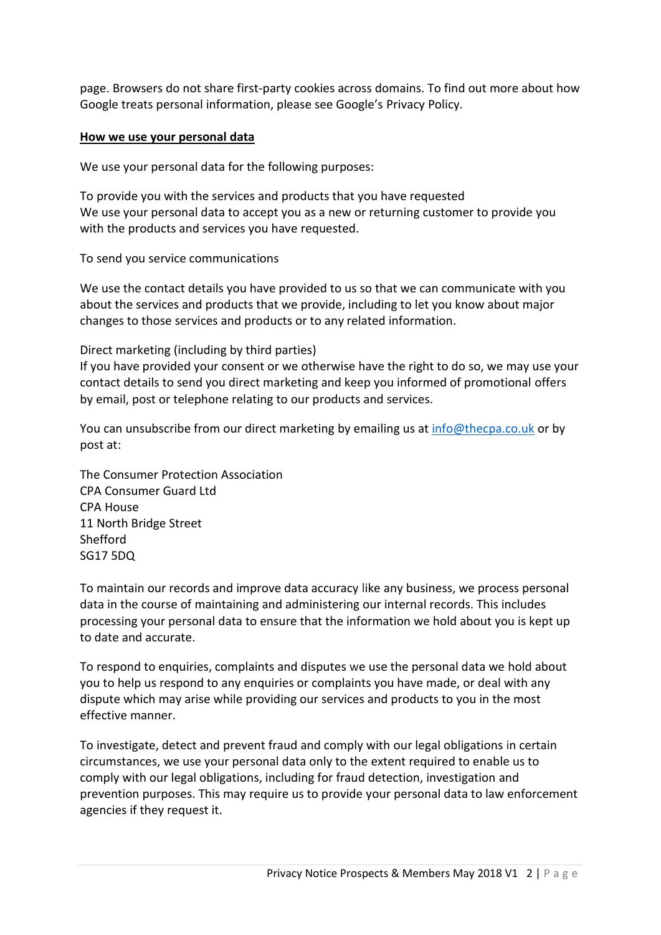page. Browsers do not share first-party cookies across domains. To find out more about how Google treats personal information, please see Google's Privacy Policy.

#### **How we use your personal data**

We use your personal data for the following purposes:

To provide you with the services and products that you have requested We use your personal data to accept you as a new or returning customer to provide you with the products and services you have requested.

To send you service communications

We use the contact details you have provided to us so that we can communicate with you about the services and products that we provide, including to let you know about major changes to those services and products or to any related information.

Direct marketing (including by third parties)

If you have provided your consent or we otherwise have the right to do so, we may use your contact details to send you direct marketing and keep you informed of promotional offers by email, post or telephone relating to our products and services.

You can unsubscribe from our direct marketing by emailing us at [info@thecpa.co.uk](mailto:info@thecpa.co.uk) or by post at:

The Consumer Protection Association CPA Consumer Guard Ltd CPA House 11 North Bridge Street Shefford SG17 5DQ

To maintain our records and improve data accuracy like any business, we process personal data in the course of maintaining and administering our internal records. This includes processing your personal data to ensure that the information we hold about you is kept up to date and accurate.

To respond to enquiries, complaints and disputes we use the personal data we hold about you to help us respond to any enquiries or complaints you have made, or deal with any dispute which may arise while providing our services and products to you in the most effective manner.

To investigate, detect and prevent fraud and comply with our legal obligations in certain circumstances, we use your personal data only to the extent required to enable us to comply with our legal obligations, including for fraud detection, investigation and prevention purposes. This may require us to provide your personal data to law enforcement agencies if they request it.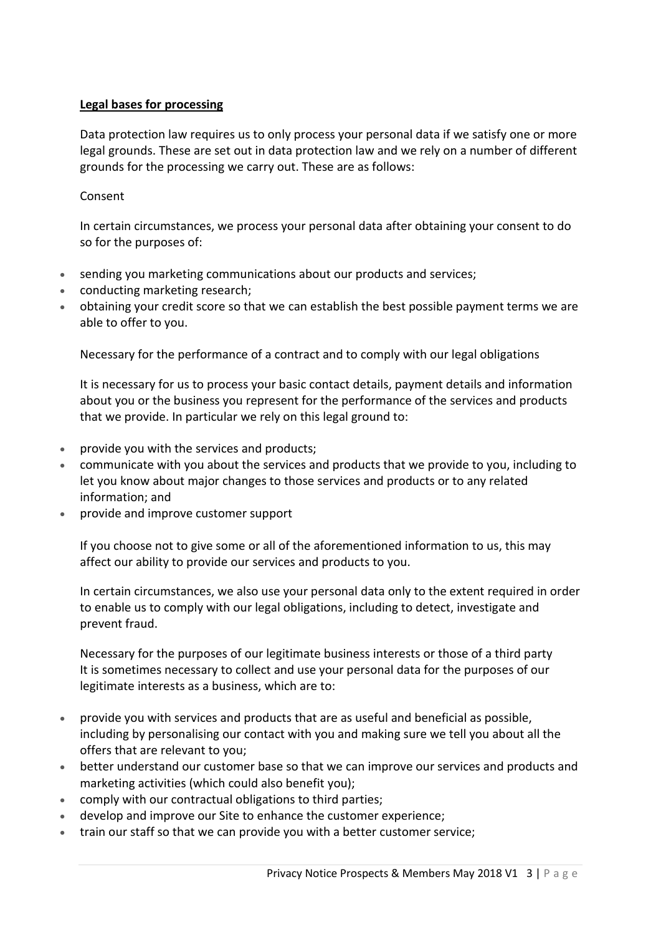### **Legal bases for processing**

Data protection law requires us to only process your personal data if we satisfy one or more legal grounds. These are set out in data protection law and we rely on a number of different grounds for the processing we carry out. These are as follows:

## Consent

In certain circumstances, we process your personal data after obtaining your consent to do so for the purposes of:

- sending you marketing communications about our products and services;
- conducting marketing research;
- obtaining your credit score so that we can establish the best possible payment terms we are able to offer to you.

Necessary for the performance of a contract and to comply with our legal obligations

It is necessary for us to process your basic contact details, payment details and information about you or the business you represent for the performance of the services and products that we provide. In particular we rely on this legal ground to:

- provide you with the services and products;
- communicate with you about the services and products that we provide to you, including to let you know about major changes to those services and products or to any related information; and
- provide and improve customer support

If you choose not to give some or all of the aforementioned information to us, this may affect our ability to provide our services and products to you.

In certain circumstances, we also use your personal data only to the extent required in order to enable us to comply with our legal obligations, including to detect, investigate and prevent fraud.

Necessary for the purposes of our legitimate business interests or those of a third party It is sometimes necessary to collect and use your personal data for the purposes of our legitimate interests as a business, which are to:

- provide you with services and products that are as useful and beneficial as possible, including by personalising our contact with you and making sure we tell you about all the offers that are relevant to you;
- better understand our customer base so that we can improve our services and products and marketing activities (which could also benefit you);
- comply with our contractual obligations to third parties;
- develop and improve our Site to enhance the customer experience;
- train our staff so that we can provide you with a better customer service;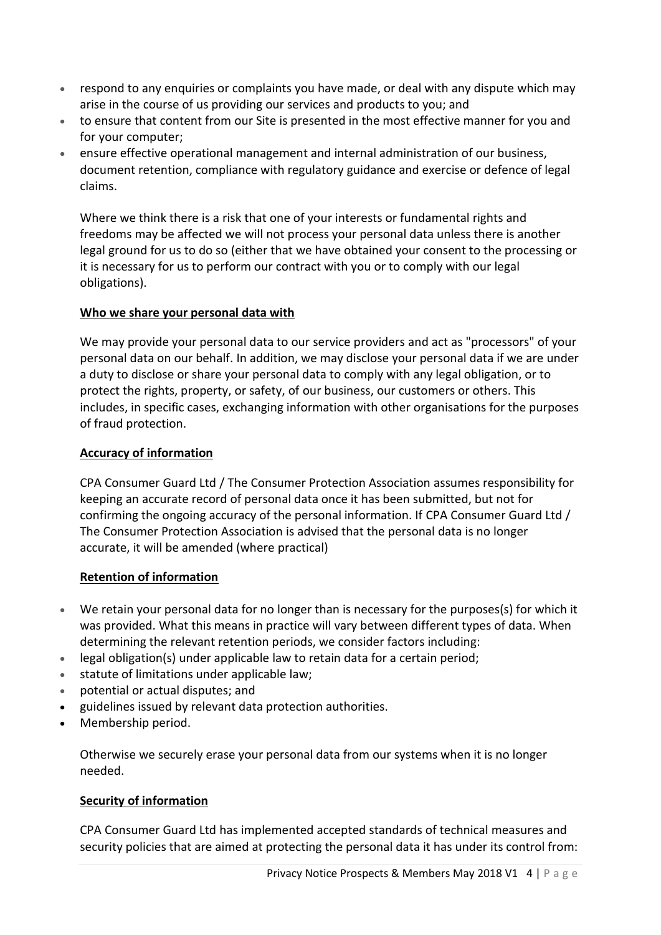- respond to any enquiries or complaints you have made, or deal with any dispute which may arise in the course of us providing our services and products to you; and
- to ensure that content from our Site is presented in the most effective manner for you and for your computer;
- ensure effective operational management and internal administration of our business, document retention, compliance with regulatory guidance and exercise or defence of legal claims.

Where we think there is a risk that one of your interests or fundamental rights and freedoms may be affected we will not process your personal data unless there is another legal ground for us to do so (either that we have obtained your consent to the processing or it is necessary for us to perform our contract with you or to comply with our legal obligations).

### **Who we share your personal data with**

We may provide your personal data to our service providers and act as "processors" of your personal data on our behalf. In addition, we may disclose your personal data if we are under a duty to disclose or share your personal data to comply with any legal obligation, or to protect the rights, property, or safety, of our business, our customers or others. This includes, in specific cases, exchanging information with other organisations for the purposes of fraud protection.

### **Accuracy of information**

CPA Consumer Guard Ltd / The Consumer Protection Association assumes responsibility for keeping an accurate record of personal data once it has been submitted, but not for confirming the ongoing accuracy of the personal information. If CPA Consumer Guard Ltd / The Consumer Protection Association is advised that the personal data is no longer accurate, it will be amended (where practical)

### **Retention of information**

- We retain your personal data for no longer than is necessary for the purposes(s) for which it was provided. What this means in practice will vary between different types of data. When determining the relevant retention periods, we consider factors including:
- legal obligation(s) under applicable law to retain data for a certain period;
- statute of limitations under applicable law;
- potential or actual disputes; and
- guidelines issued by relevant data protection authorities.
- Membership period.

Otherwise we securely erase your personal data from our systems when it is no longer needed.

### **Security of information**

CPA Consumer Guard Ltd has implemented accepted standards of technical measures and security policies that are aimed at protecting the personal data it has under its control from: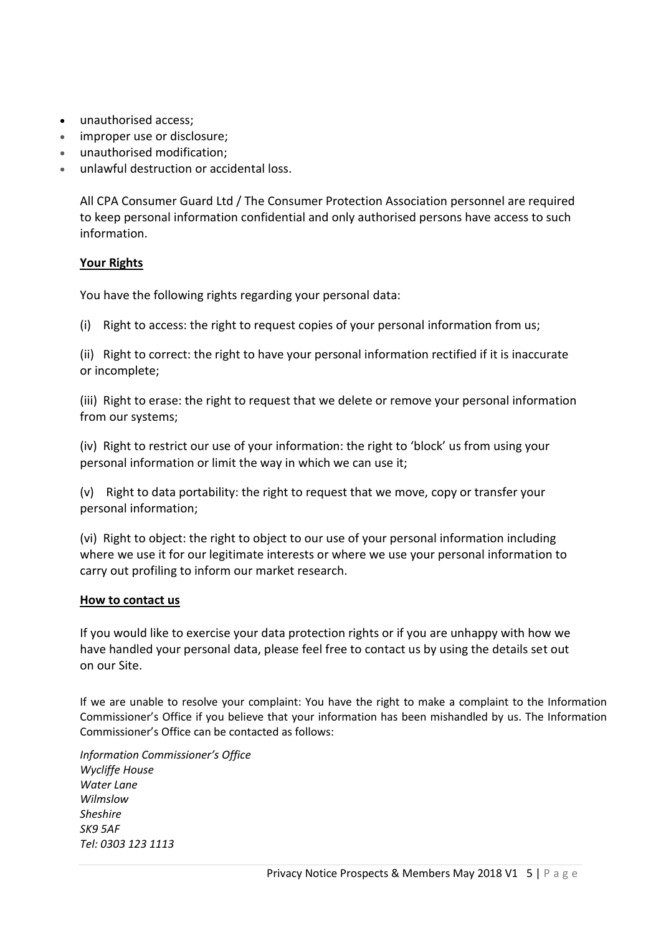- unauthorised access;
- improper use or disclosure;
- unauthorised modification;
- unlawful destruction or accidental loss.

All CPA Consumer Guard Ltd / The Consumer Protection Association personnel are required to keep personal information confidential and only authorised persons have access to such information.

### **Your Rights**

You have the following rights regarding your personal data:

(i) Right to access: the right to request copies of your personal information from us;

(ii) Right to correct: the right to have your personal information rectified if it is inaccurate or incomplete;

(iii) Right to erase: the right to request that we delete or remove your personal information from our systems;

(iv) Right to restrict our use of your information: the right to 'block' us from using your personal information or limit the way in which we can use it;

(v) Right to data portability: the right to request that we move, copy or transfer your personal information;

(vi) Right to object: the right to object to our use of your personal information including where we use it for our legitimate interests or where we use your personal information to carry out profiling to inform our market research.

### **How to contact us**

If you would like to exercise your data protection rights or if you are unhappy with how we have handled your personal data, please feel free to contact us by using the details set out on our Site.

If we are unable to resolve your complaint: You have the right to make a complaint to the Information Commissioner's Office if you believe that your information has been mishandled by us. The Information Commissioner's Office can be contacted as follows:

*Information Commissioner's Office Wycliffe House Water Lane Wilmslow Sheshire SK9 5AF Tel: 0303 123 1113*